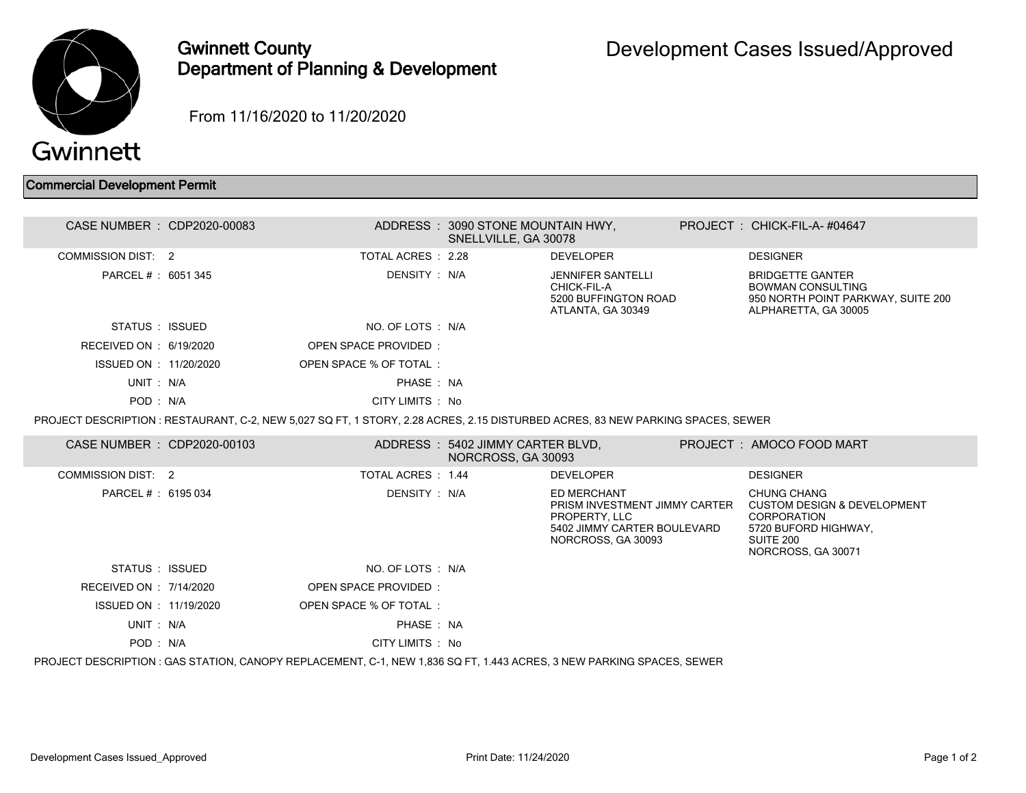

## Gwinnett County Department of Planning & Development

From 11/16/2020 to 11/20/2020

## Commercial Development Permit

| CASE NUMBER : CDP2020-00083                                                                                                     |  |                             | ADDRESS: 3090 STONE MOUNTAIN HWY,<br>SNELLVILLE, GA 30078 |                                                                                                                    |  | PROJECT: CHICK-FIL-A-#04647                                                                                                                   |  |  |  |
|---------------------------------------------------------------------------------------------------------------------------------|--|-----------------------------|-----------------------------------------------------------|--------------------------------------------------------------------------------------------------------------------|--|-----------------------------------------------------------------------------------------------------------------------------------------------|--|--|--|
| COMMISSION DIST: 2                                                                                                              |  | TOTAL ACRES : 2.28          |                                                           | <b>DEVELOPER</b>                                                                                                   |  | <b>DESIGNER</b>                                                                                                                               |  |  |  |
| PARCEL #: 6051 345                                                                                                              |  | DENSITY: N/A                |                                                           | <b>JENNIFER SANTELLI</b><br>CHICK-FIL-A<br>5200 BUFFINGTON ROAD<br>ATLANTA, GA 30349                               |  | <b>BRIDGETTE GANTER</b><br><b>BOWMAN CONSULTING</b><br>950 NORTH POINT PARKWAY, SUITE 200<br>ALPHARETTA, GA 30005                             |  |  |  |
| STATUS : ISSUED                                                                                                                 |  | NO. OF LOTS : N/A           |                                                           |                                                                                                                    |  |                                                                                                                                               |  |  |  |
| RECEIVED ON : 6/19/2020                                                                                                         |  | <b>OPEN SPACE PROVIDED:</b> |                                                           |                                                                                                                    |  |                                                                                                                                               |  |  |  |
| ISSUED ON : 11/20/2020                                                                                                          |  | OPEN SPACE % OF TOTAL:      |                                                           |                                                                                                                    |  |                                                                                                                                               |  |  |  |
| UNIT: N/A                                                                                                                       |  | PHASE: NA                   |                                                           |                                                                                                                    |  |                                                                                                                                               |  |  |  |
| POD: N/A                                                                                                                        |  | CITY LIMITS : No            |                                                           |                                                                                                                    |  |                                                                                                                                               |  |  |  |
| PROJECT DESCRIPTION : RESTAURANT, C-2, NEW 5.027 SQ FT, 1 STORY, 2.28 ACRES, 2.15 DISTURBED ACRES, 83 NEW PARKING SPACES, SEWER |  |                             |                                                           |                                                                                                                    |  |                                                                                                                                               |  |  |  |
| CASE NUMBER : CDP2020-00103                                                                                                     |  |                             | ADDRESS: 5402 JIMMY CARTER BLVD,<br>NORCROSS, GA 30093    |                                                                                                                    |  | PROJECT: AMOCO FOOD MART                                                                                                                      |  |  |  |
| <b>COMMISSION DIST: 2</b>                                                                                                       |  | <b>TOTAL ACRES : 1.44</b>   |                                                           | <b>DEVELOPER</b>                                                                                                   |  | <b>DESIGNER</b>                                                                                                                               |  |  |  |
| PARCEL #: 6195 034                                                                                                              |  | DENSITY : N/A               |                                                           | ED MERCHANT<br>PRISM INVESTMENT JIMMY CARTER<br>PROPERTY, LLC<br>5402 JIMMY CARTER BOULEVARD<br>NORCROSS, GA 30093 |  | <b>CHUNG CHANG</b><br><b>CUSTOM DESIGN &amp; DEVELOPMENT</b><br><b>CORPORATION</b><br>5720 BUFORD HIGHWAY,<br>SUITE 200<br>NORCROSS, GA 30071 |  |  |  |
| STATUS : ISSUED                                                                                                                 |  | NO. OF LOTS : N/A           |                                                           |                                                                                                                    |  |                                                                                                                                               |  |  |  |
| RECEIVED ON : 7/14/2020                                                                                                         |  | OPEN SPACE PROVIDED:        |                                                           |                                                                                                                    |  |                                                                                                                                               |  |  |  |
| ISSUED ON : 11/19/2020                                                                                                          |  | OPEN SPACE % OF TOTAL:      |                                                           |                                                                                                                    |  |                                                                                                                                               |  |  |  |
| UNIT: N/A                                                                                                                       |  | PHASE: NA                   |                                                           |                                                                                                                    |  |                                                                                                                                               |  |  |  |
| POD: N/A                                                                                                                        |  | CITY LIMITS : No            |                                                           |                                                                                                                    |  |                                                                                                                                               |  |  |  |
| PROJECT DESCRIPTION: GAS STATION, CANOPY REPLACEMENT, C-1, NEW 1,836 SQ FT, 1.443 ACRES, 3 NEW PARKING SPACES, SEWER            |  |                             |                                                           |                                                                                                                    |  |                                                                                                                                               |  |  |  |